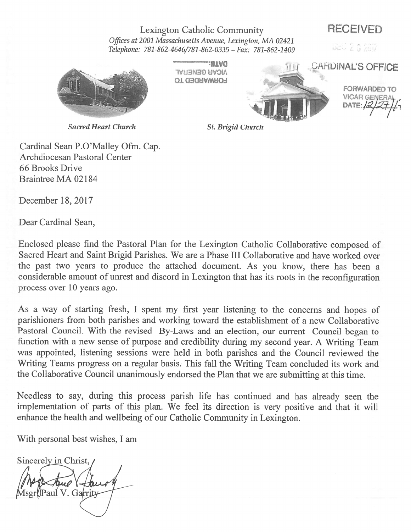# Lexington Catholic Community RECEIVED

Offices at 2001 Massachusetts Avenue, Lexington, MA 02421 . . -المال المستقلة التي تحت 1409–1980، 1987–1988 Felephone: 781-862-04646/781-862-0335

**FORWARDED TO** 

THE GARDINAL'S OFFICE -. DATE:  $\frac{2}{2}$ **And Britishing + Stat** 

FORWARDED TO

 $271 -$ 

Sacred Heart Church

Cardinal Sean P.O'Malley Ofm. Cap. Archdiocesan Pastoral Center 66 Brooks Drive Braintree MA 02184

December 18, 2017

Dear Cardinal Sean,

Enclosed <sup>p</sup>lease find the Pastoral Plan for the Lexington Catholic Collaborative compose<sup>d</sup> of Sacred Heart and Saint Brigid Parishes. We are <sup>a</sup> Phase III Collaborative and have worked over the pas<sup>t</sup> two years to produce the attached document. As you know, there has been <sup>a</sup> considerable amount of unrest and discord in Lexington that has its roots in the reconfiguration process over 10 years ago.

As <sup>a</sup> way of starting fresh, <sup>I</sup> spen<sup>t</sup> my first year listening to the concerns and hopes of parishioners from both parishes and working toward the establishment of <sup>a</sup> new Collaborative Pastoral Council. With the revised By-Laws and an election, our current Council began to function with <sup>a</sup> new sense of purpose and credibility during my second year. <sup>A</sup> Writing Team was appointed, listening sessions were held in both parishes and the Council reviewed the Writing Teams progress on <sup>a</sup> regular basis. This fall the Writing Team concluded its work and the Collaborative Council unanimously endorsed the Plan that we are submitting at this time.

Needless to say, during this process parish life has continued and has already seen the implementation of parts of this <sup>p</sup>lan. We feel its direction is very positive and that it will enhance the health and wellbeing of our Catholic Community in Lexington.

With personal best wishes, I am

Sincerely in Christ, Msgr()Paul V. Garrity

St. Brigid Church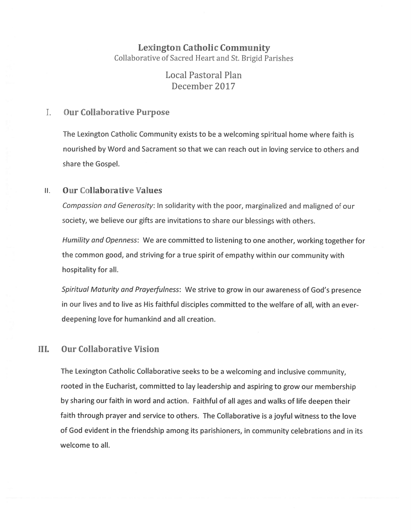# Lexington Catholic Community Collaborative of Sacred Heart and St. Brigid Parishes

Local Pastoral Plan December 2017

#### $\mathbf{L}$ Our Collaborative Purpose

The Lexington Catholic Community exists to be <sup>a</sup> welcoming spiritual home where faith is nourished by Word and Sacrament so that we can reach out in loving service to others and share the Gospel.

## II. Our Collaborative Values

Compassion and Generosity: In solidarity with the poor, marginalized and maligned of our society, we believe our <sup>g</sup>ifts are invitations to share our blessings with others.

Humility and Openness: We are committed to listening to one another, working together for the common good, and striving for <sup>a</sup> true spirit of empathy within our community with hospitality for all.

Spiritual Maturity and Prayerfulness: We strive to grow in our awareness of God's presence in our lives and to live as His faithful disciples committed to the welfare of all, with an everdeepening love for humankind and all creation.

# III. Our Collaborative Vision

The Lexington Catholic Collaborative seeks to be <sup>a</sup> welcoming and inclusive community, rooted in the Eucharist, committed to lay leadership and aspiring to grow our membership by sharing our faith in word and action. Faithful of all ages and walks of life deepen their faith through prayer and service to others. The Collaborative is <sup>a</sup> joyful witness to the love of God evident in the friendship among its parishioners, in community celebrations and in its welcome to all.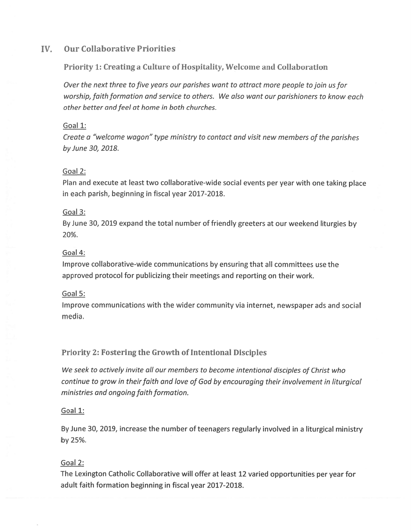# Iv. Our Collaborative Priorities

## Priority 1: Creating <sup>a</sup> Culture of Hospitality, Welcome and Collaboration

Over the next three to five years our parishes want to attract more people to join us for worship, faith formation and service to others. We also want our parishioners to know each other better and feel at home in both churches.

#### Goal 1:

Create <sup>a</sup> "welcome wagon" type ministry to contact and visit new members of the parishes by June 30, 2018.

#### Goal 2:

Plan and execute at least two collaborative-wide social events per year with one taking <sup>p</sup>lace in each parish, beginning in fiscal year 2017-2018.

#### Goal 3:

By June 30, 2019 expand the total number of friendly greeters at our weekend liturgies by 20%.

#### Goal 4:

Improve collaborative-wide communications by ensuring that all committees use the approved protocol for publicizing their meetings and reporting on their work.

## Goal 5:

Improve communications with the wider community via internet, newspaper ads and social media.

# Priority 2: fostering the Growth of Intentional Disciples

We seek to actively invite all our members to become intentional disciples of Christ who continue to grow in their faith and love of God by encouraging their involvement in liturgical ministries and ongoing faith formation.

## Goal 1:

By June 30, 2019, increase the number of teenagers regularly involved in <sup>a</sup> liturgical ministry by 25%.

## Goal 2:

The Lexington Catholic Collaborative will offer at least <sup>12</sup> varied opportunities per year for adult faith formation beginning in fiscal year 2017-2018.